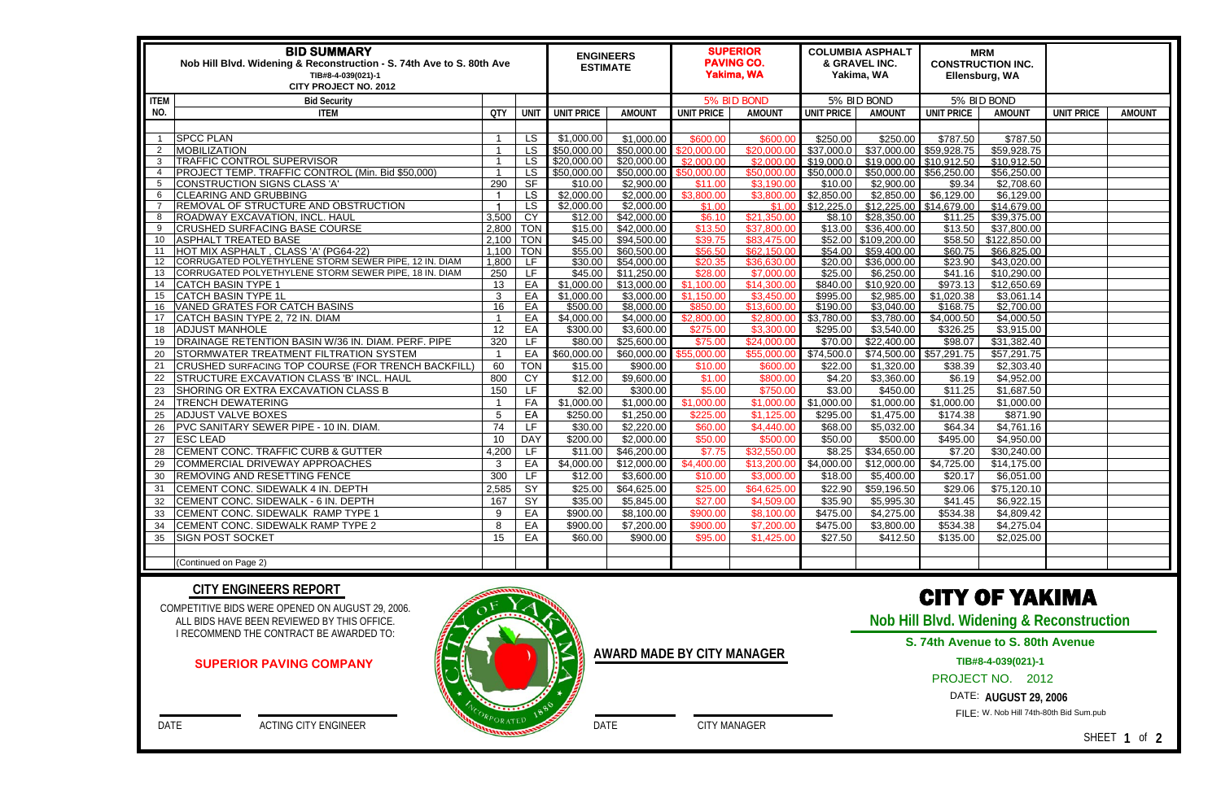| <b>BID SUMMARY</b><br>Nob Hill Blvd. Widening & Reconstruction - S. 74th Ave to S. 80th Ave<br>TIB#8-4-039(021)-1<br><b>CITY PROJECT NO. 2012</b> |                                                                  |            |                 |                        | <b>ENGINEERS</b><br><b>ESTIMATE</b> |                                    | <b>SUPERIOR</b><br><b>PAVING CO.</b><br><b>Yakima, WA</b> |                        | <b>COLUMBIA ASPHALT</b><br>& GRAVEL INC.<br>Yakima, WA |                        | <b>MRM</b><br><b>CONSTRUCTION INC.</b><br>Ellensburg, WA |                   |               |
|---------------------------------------------------------------------------------------------------------------------------------------------------|------------------------------------------------------------------|------------|-----------------|------------------------|-------------------------------------|------------------------------------|-----------------------------------------------------------|------------------------|--------------------------------------------------------|------------------------|----------------------------------------------------------|-------------------|---------------|
| <b>ITEM</b>                                                                                                                                       | <b>Bid Security</b>                                              |            |                 |                        |                                     | 5% BID BOND                        |                                                           | 5% BID BOND            |                                                        | 5% BID BOND            |                                                          |                   |               |
| NO.                                                                                                                                               | <b>ITEM</b>                                                      | <b>QTY</b> | UNIT            | <b>UNIT PRICE</b>      | <b>AMOUNT</b>                       | <b>UNIT PRICE</b>                  | <b>AMOUNT</b>                                             | <b>UNIT PRICE</b>      | <b>AMOUNT</b>                                          | <b>UNIT PRICE</b>      | <b>AMOUNT</b>                                            | <b>UNIT PRICE</b> | <b>AMOUNT</b> |
|                                                                                                                                                   |                                                                  |            |                 |                        |                                     |                                    |                                                           |                        |                                                        |                        |                                                          |                   |               |
|                                                                                                                                                   | <b>SPCC PLAN</b>                                                 |            | <b>LS</b>       | \$1,000.00             | \$1,000.00                          | \$600.00                           | \$600.00                                                  | \$250.00               | \$250.00                                               | \$787.50               | \$787.50                                                 |                   |               |
| $\overline{2}$                                                                                                                                    | MOBILIZATION                                                     |            | <b>LS</b>       | \$50,000.00            | \$50,000.00                         | \$20,000.00                        | \$20,000.00                                               | \$37,000.0             | \$37,000.00                                            | \$59,928.75            | \$59,928.75                                              |                   |               |
| 3                                                                                                                                                 | <b>TRAFFIC CONTROL SUPERVISOR</b>                                |            | $\overline{LS}$ | \$20,000.00            | \$20,000.00                         | \$2,000.00                         | \$2,000.00                                                | \$19,000.0             | \$19,000.00 \$10,912.50                                |                        | \$10,912.50                                              |                   |               |
| 4                                                                                                                                                 | PROJECT TEMP. TRAFFIC CONTROL (Min. Bid \$50,000)                |            | <b>LS</b>       | \$50,000.00            | \$50,000.00                         | \$50,000.00                        | \$50,000.00                                               | \$50,000.0             | \$50,000.00 \$56,250.00                                |                        | \$56,250.00                                              |                   |               |
| 5                                                                                                                                                 | CONSTRUCTION SIGNS CLASS 'A'                                     | 290        | SF              | \$10.00                | \$2,900.00                          | \$11.00                            | \$3,190.00                                                | \$10.00                | \$2,900.00                                             | \$9.34                 | \$2,708.60                                               |                   |               |
| 6                                                                                                                                                 | CLEARING AND GRUBBING                                            |            | <b>LS</b>       | \$2,000.00             | \$2,000.00                          | \$3,800.00                         | \$3,800.00                                                | \$2,850.00             | \$2,850.00                                             | \$6,129.00             | \$6,129.00                                               |                   |               |
|                                                                                                                                                   | REMOVAL OF STRUCTURE AND OBSTRUCTION                             |            | <b>LS</b>       | \$2,000.00             | \$2,000.00                          | \$1.00                             | \$1.00                                                    | \$12,225.0             | \$12,225.00 \$14,679.00                                |                        | \$14,679.00                                              |                   |               |
| 8                                                                                                                                                 | ROADWAY EXCAVATION, INCL. HAUL                                   | 3,500      | CY              | \$12.00                | \$42,000.00                         | \$6.10                             | \$21,350.00                                               | \$8.10                 | \$28,350.00                                            | $\overline{$}11.25$    | \$39,375.00                                              |                   |               |
| 9                                                                                                                                                 | <b>CRUSHED SURFACING BASE COURSE</b>                             | 2,800      | <b>TON</b>      | \$15.00                | \$42,000.00                         | \$13.50                            | \$37,800.00                                               | \$13.00                | \$36,400.00                                            | \$13.50                | \$37,800.00                                              |                   |               |
| 10                                                                                                                                                | <b>ASPHALT TREATED BASE</b>                                      | 2,100      | <b>TON</b>      | \$45.00                | \$94,500.00                         | \$39.75                            | \$83,475.00                                               | \$52.00                | \$109,200.00                                           | \$58.50                | \$122,850.00                                             |                   |               |
| 11                                                                                                                                                | HOT MIX ASPHALT, CLASS 'A' (PG64-22)                             | 1,100      | <b>TON</b>      | \$55.00                | \$60,500.00                         | \$56.50                            | \$62,150.00                                               | \$54.00                | \$59,400.00                                            | \$60.75                | \$66,825.00                                              |                   |               |
| 12                                                                                                                                                | CORRUGATED POLYETHYLENE STORM SEWER PIPE, 12 IN. DIAM            | 1,800      | LF.             | \$30.00                | \$54,000.00                         | \$20.35                            | \$36,630.00                                               | \$20.00                | \$36,000.00                                            | \$23.90                | \$43,020.00                                              |                   |               |
| 13                                                                                                                                                | CORRUGATED POLYETHYLENE STORM SEWER PIPE, 18 IN. DIAM            | 250        | <b>LF</b>       | \$45.00                | \$11,250.00                         | \$28.00                            | \$7,000.00                                                | \$25.00                | \$6,250.00                                             | \$41.16                | \$10,290.00                                              |                   |               |
| 14                                                                                                                                                | <b>CATCH BASIN TYPE 1</b>                                        | 13         | EA              | \$1,000.00             | \$13,000.00                         | \$1,100.00                         | \$14,300.00                                               | \$840.00               | \$10,920.00                                            | \$973.13               | \$12,650.69                                              |                   |               |
| 15                                                                                                                                                | <b>CATCH BASIN TYPE 1L</b>                                       | 3          | EA              | \$1,000.00<br>\$500.00 | \$3,000.00<br>\$8,000.00            | \$1,150.00                         | \$3,450.00                                                | \$995.00               | \$2,985.00                                             | \$1,020.38             | \$3,061.14                                               |                   |               |
| 16<br>17                                                                                                                                          | VANED GRATES FOR CATCH BASINS<br>CATCH BASIN TYPE 2, 72 IN. DIAM | 16         | EA<br>EA        | \$4,000.00             | \$4,000.00                          | \$850.00<br>$\overline{$}2,800.00$ | \$13,600.00<br>\$2,800.00                                 | \$190.00<br>\$3,780.00 | \$3,040.00<br>\$3,780.00                               | \$168.75<br>\$4,000.50 | \$2,700.00<br>\$4,000.50                                 |                   |               |
| 18                                                                                                                                                | <b>ADJUST MANHOLE</b>                                            | 12         | EA              | \$300.00               | \$3,600.00                          | \$275.00                           | \$3,300.00                                                | \$295.00               | \$3,540.00                                             | \$326.25               | \$3,915.00                                               |                   |               |
|                                                                                                                                                   | DRAINAGE RETENTION BASIN W/36 IN. DIAM. PERF. PIPE               | 320        | LF              | \$80.00                | \$25,600.00                         | \$75.00                            | \$24,000.00                                               | \$70.00                | \$22,400.00                                            | \$98.07                | \$31,382.40                                              |                   |               |
| 19                                                                                                                                                | STORMWATER TREATMENT FILTRATION SYSTEM                           |            | EA              | \$60,000.00            | \$60,000.00                         |                                    | \$55,000.00                                               | \$74,500.0             | \$74,500.00 \$57,291.75                                |                        | \$57,291.75                                              |                   |               |
| 20                                                                                                                                                |                                                                  |            | <b>TON</b>      |                        |                                     | \$55,000.00                        | \$600.00                                                  |                        |                                                        |                        |                                                          |                   |               |
| 21                                                                                                                                                | CRUSHED SURFACING TOP COURSE (FOR TRENCH BACKFILL)               | 60         |                 | \$15.00                | \$900.00                            | \$10.00                            |                                                           | \$22.00                | \$1,320.00                                             | \$38.39                | \$2,303.40                                               |                   |               |
| 22                                                                                                                                                | STRUCTURE EXCAVATION CLASS 'B' INCL. HAUL                        | 800        | CY              | \$12.00                | \$9,600.00                          | \$1.00                             | \$800.00                                                  | \$4.20                 | \$3,360.00                                             | \$6.19                 | \$4,952.00                                               |                   |               |
| 23                                                                                                                                                | SHORING OR EXTRA EXCAVATION CLASS B                              | 150        | LF              | \$2.00                 | \$300.00                            | \$5.00                             | \$750.00                                                  | \$3.00                 | \$450.00                                               | \$11.25                | \$1,687.50                                               |                   |               |
| 24                                                                                                                                                | <b>TRENCH DEWATERING</b>                                         |            | FA              | \$1,000.00             | \$1,000.00                          | \$1,000.00                         | \$1,000.00                                                | \$1,000.00             | \$1,000.00                                             | \$1,000.00             | \$1,000.00                                               |                   |               |
| 25                                                                                                                                                | <b>ADJUST VALVE BOXES</b>                                        | 5          | EA              | \$250.00               | \$1,250.00                          | \$225.00                           | \$1,125.00                                                | \$295.00               | \$1,475.00                                             | \$174.38               | \$871.90                                                 |                   |               |
| 26                                                                                                                                                | PVC SANITARY SEWER PIPE - 10 IN. DIAM.                           | 74         | <b>LF</b>       | \$30.00                | \$2,220.00                          | \$60.00                            | \$4,440.00                                                | \$68.00                | \$5,032.00                                             | \$64.34                | \$4,761.16                                               |                   |               |
| 27                                                                                                                                                | <b>ESC LEAD</b>                                                  | 10         | <b>DAY</b>      | \$200.00               | \$2,000.00                          | \$50.00                            | \$500.00                                                  | \$50.00                | \$500.00                                               | \$495.00               | \$4,950.00                                               |                   |               |
| 28                                                                                                                                                | CEMENT CONC. TRAFFIC CURB & GUTTER                               | 4,200      | LF.             | \$11.00                | \$46,200.00                         | \$7.75                             | \$32,550.00                                               | \$8.25                 | \$34,650.00                                            | \$7.20                 | \$30,240.00                                              |                   |               |
| 29                                                                                                                                                | COMMERCIAL DRIVEWAY APPROACHES                                   | 3          | EA              | \$4,000.00             | \$12,000.00                         | \$4,400.00                         | \$13,200.00                                               | $\sqrt{$4,000.00}$     | \$12,000.00                                            | \$4,725.00             | \$14,175.00                                              |                   |               |
| 30                                                                                                                                                | REMOVING AND RESETTING FENCE                                     | 300        | LF.             | \$12.00                | \$3,600.00                          | \$10.00                            | \$3,000.00                                                | \$18.00                | \$5,400.00                                             | \$20.17                | \$6,051.00                                               |                   |               |
|                                                                                                                                                   | CEMENT CONC. SIDEWALK 4 IN. DEPTH                                | 2,585      | $\overline{SY}$ | \$25.00                | \$64,625.00                         | \$25.00                            | \$64,625.00                                               | \$22.90                | \$59,196.50                                            | \$29.06                | \$75,120.10                                              |                   |               |
| 32                                                                                                                                                | CEMENT CONC. SIDEWALK - 6 IN. DEPTH                              | 167        | SY              | \$35.00                | \$5,845.00                          | \$27.00                            | \$4,509.00                                                | \$35.90                | \$5,995.30                                             | \$41.45                | \$6,922.15                                               |                   |               |
| 33                                                                                                                                                | CEMENT CONC. SIDEWALK RAMP TYPE 1                                | 9          | EA              | \$900.00               | \$8,100.00                          | \$900.00                           | \$8,100.00                                                | \$475.00               | \$4,275.00                                             | \$534.38               | \$4,809.42                                               |                   |               |
| 34                                                                                                                                                | CEMENT CONC. SIDEWALK RAMP TYPE 2                                | 8          | EA              | \$900.00               | \$7,200.00                          | \$900.00                           | \$7,200.00                                                | \$475.00               | \$3,800.00                                             | \$534.38               | \$4,275.04                                               |                   |               |
| 35                                                                                                                                                | <b>SIGN POST SOCKET</b>                                          | 15         | EA              | \$60.00                | \$900.00                            | \$95.00                            | \$1,425.00                                                | \$27.50                | \$412.50                                               | \$135.00               | \$2,025.00                                               |                   |               |
|                                                                                                                                                   |                                                                  |            |                 |                        |                                     |                                    |                                                           |                        |                                                        |                        |                                                          |                   |               |
|                                                                                                                                                   | (Continued on Page 2)                                            |            |                 |                        |                                     |                                    |                                                           |                        |                                                        |                        |                                                          |                   |               |

COMPETITIVE BIDS WERE OPENED ON AUGUST 29, 2006. ALL BIDS HAVE BEEN REVIEWED BY THIS OFFICE. I RECOMMEND THE CONTRACT BE AWARDED TO:

DATE ACTING CITY ENGINEER

### **CITY ENGINEERS REPORT**

DATE CITY MANAGER

**AWARD MADE BY CITY MANAGER**

# CITY OF YAKIMA

**Nob Hill Blvd. Widening & Reconstruction** 

PROJECT NO. 2012

DATE: **AUGUST 29, 2006** 

FILE: W. Nob Hill 74th-80th Bid Sum.pub

SHEET **1** of **2** 

### **SUPERIOR PAVING COMPANY**



# **S. 74th Avenue to S. 80th Avenue**

# **TIB#8-4-039(021)-1**